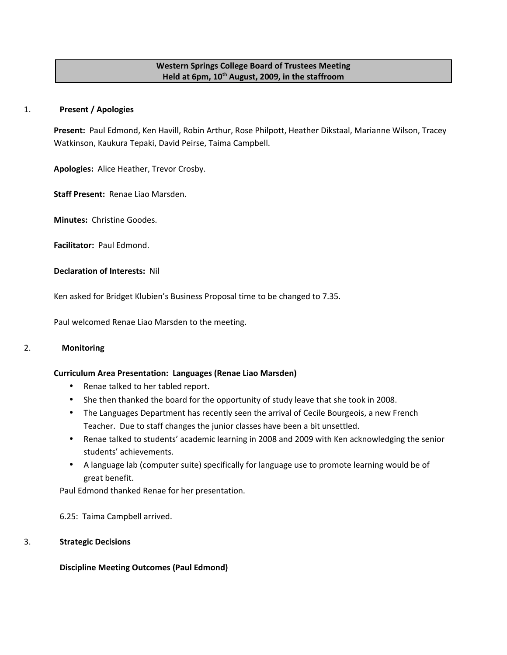# **Western Springs College Board of Trustees Meeting Held at 6pm, 10th August, 2009, in the staffroom**

## 1. **Present / Apologies**

**Present:** Paul Edmond, Ken Havill, Robin Arthur, Rose Philpott, Heather Dikstaal, Marianne Wilson, Tracey Watkinson, Kaukura Tepaki, David Peirse, Taima Campbell.

**Apologies:** Alice Heather, Trevor Crosby.

**Staff Present:** Renae Liao Marsden.

**Minutes:** Christine Goodes.

**Facilitator:** Paul Edmond.

**Declaration of Interests:** Nil

Ken asked for Bridget Klubien's Business Proposal time to be changed to 7.35.

Paul welcomed Renae Liao Marsden to the meeting.

# 2. **Monitoring**

# **Curriculum Area Presentation: Languages (Renae Liao Marsden)**

- Renae talked to her tabled report.
- She then thanked the board for the opportunity of study leave that she took in 2008.
- The Languages Department has recently seen the arrival of Cecile Bourgeois, a new French Teacher. Due to staff changes the junior classes have been a bit unsettled.
- Renae talked to students' academic learning in 2008 and 2009 with Ken acknowledging the senior students' achievements.
- A language lab (computer suite) specifically for language use to promote learning would be of great benefit.

Paul Edmond thanked Renae for her presentation.

6.25: Taima Campbell arrived.

# 3. **Strategic Decisions**

# **Discipline Meeting Outcomes (Paul Edmond)**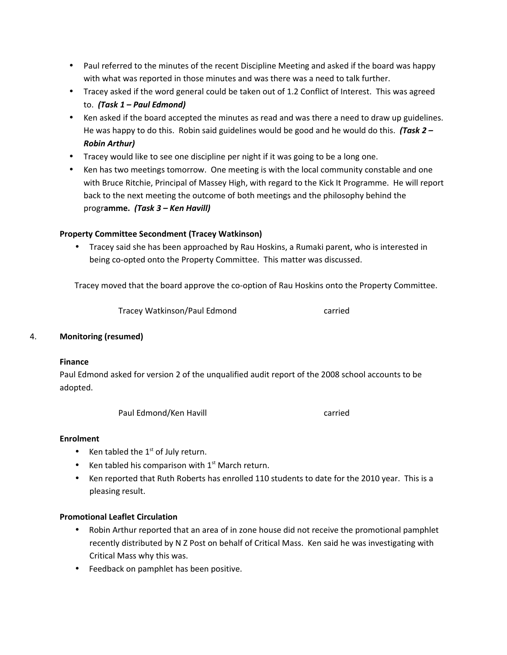- Paul referred to the minutes of the recent Discipline Meeting and asked if the board was happy with what was reported in those minutes and was there was a need to talk further.
- Tracey asked if the word general could be taken out of 1.2 Conflict of Interest. This was agreed to. *(Task 1 – Paul Edmond)*
- Ken asked if the board accepted the minutes as read and was there a need to draw up guidelines. He was happy to do this. Robin said guidelines would be good and he would do this. *(Task 2 – Robin Arthur)*
- Tracey would like to see one discipline per night if it was going to be a long one.
- Ken has two meetings tomorrow. One meeting is with the local community constable and one with Bruce Ritchie, Principal of Massey High, with regard to the Kick It Programme. He will report back to the next meeting the outcome of both meetings and the philosophy behind the progr**amme.** *(Task 3 – Ken Havill)*

# **Property Committee Secondment (Tracey Watkinson)**

• Tracey said she has been approached by Rau Hoskins, a Rumaki parent, who is interested in being co-opted onto the Property Committee. This matter was discussed.

Tracey moved that the board approve the co-option of Rau Hoskins onto the Property Committee.

Tracey Watkinson/Paul Edmond carried

# 4. **Monitoring (resumed)**

# **Finance**

Paul Edmond asked for version 2 of the unqualified audit report of the 2008 school accounts to be adopted.

Paul Edmond/Ken Havill **Carried** carried

# **Enrolment**

- Ken tabled the  $1<sup>st</sup>$  of July return.
- Ken tabled his comparison with  $1<sup>st</sup>$  March return.
- Ken reported that Ruth Roberts has enrolled 110 students to date for the 2010 year. This is a pleasing result.

# **Promotional Leaflet Circulation**

- Robin Arthur reported that an area of in zone house did not receive the promotional pamphlet recently distributed by N Z Post on behalf of Critical Mass. Ken said he was investigating with Critical Mass why this was.
- Feedback on pamphlet has been positive.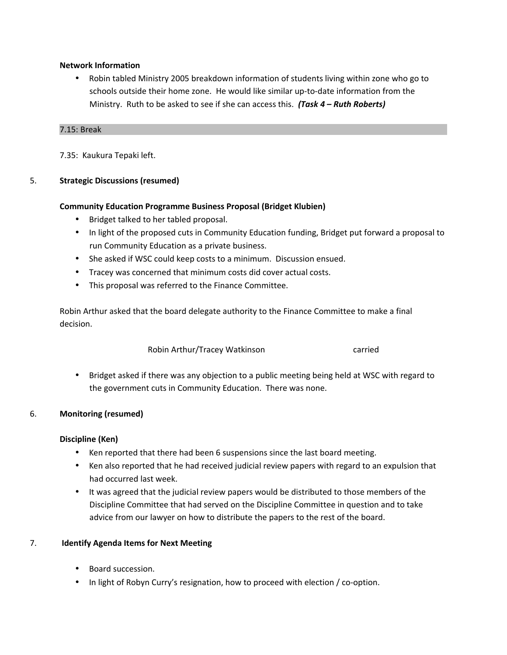# **Network Information**

• Robin tabled Ministry 2005 breakdown information of students living within zone who go to schools outside their home zone. He would like similar up-to-date information from the Ministry. Ruth to be asked to see if she can access this. *(Task 4 – Ruth Roberts)*

#### 7.15: Break

7.35: Kaukura Tepaki left.

# 5. **Strategic Discussions (resumed)**

# **Community Education Programme Business Proposal (Bridget Klubien)**

- Bridget talked to her tabled proposal.
- In light of the proposed cuts in Community Education funding, Bridget put forward a proposal to run Community Education as a private business.
- She asked if WSC could keep costs to a minimum. Discussion ensued.
- Tracey was concerned that minimum costs did cover actual costs.
- This proposal was referred to the Finance Committee.

Robin Arthur asked that the board delegate authority to the Finance Committee to make a final decision.

Robin Arthur/Tracey Watkinson carried

• Bridget asked if there was any objection to a public meeting being held at WSC with regard to the government cuts in Community Education. There was none.

# 6. **Monitoring (resumed)**

# **Discipline (Ken)**

- Ken reported that there had been 6 suspensions since the last board meeting.
- Ken also reported that he had received judicial review papers with regard to an expulsion that had occurred last week.
- It was agreed that the judicial review papers would be distributed to those members of the Discipline Committee that had served on the Discipline Committee in question and to take advice from our lawyer on how to distribute the papers to the rest of the board.

# 7. **Identify Agenda Items for Next Meeting**

- Board succession.
- In light of Robyn Curry's resignation, how to proceed with election / co-option.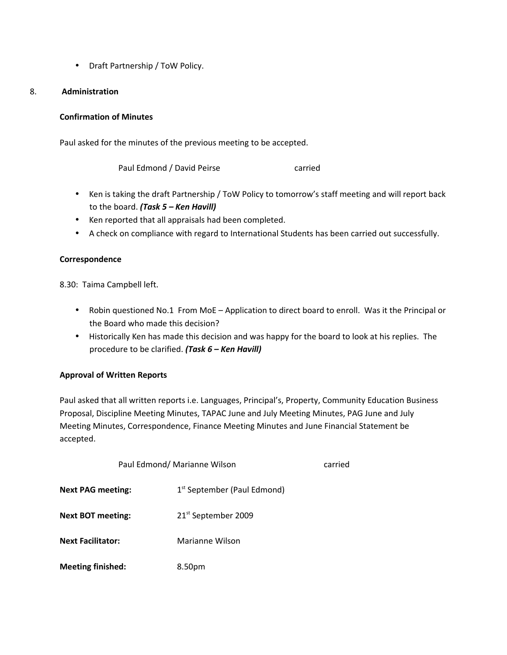• Draft Partnership / ToW Policy.

## 8. **Administration**

## **Confirmation of Minutes**

Paul asked for the minutes of the previous meeting to be accepted.

Paul Edmond / David Peirse Carried

- Ken is taking the draft Partnership / ToW Policy to tomorrow's staff meeting and will report back to the board. *(Task 5 – Ken Havill)*
- Ken reported that all appraisals had been completed.
- A check on compliance with regard to International Students has been carried out successfully.

#### **Correspondence**

8.30: Taima Campbell left.

- Robin questioned No.1 From MoE Application to direct board to enroll. Was it the Principal or the Board who made this decision?
- Historically Ken has made this decision and was happy for the board to look at his replies. The procedure to be clarified. *(Task 6 – Ken Havill)*

# **Approval of Written Reports**

Paul asked that all written reports i.e. Languages, Principal's, Property, Community Education Business Proposal, Discipline Meeting Minutes, TAPAC June and July Meeting Minutes, PAG June and July Meeting Minutes, Correspondence, Finance Meeting Minutes and June Financial Statement be accepted.

| Paul Edmond/ Marianne Wilson |                                         | carried |
|------------------------------|-----------------------------------------|---------|
| <b>Next PAG meeting:</b>     | 1 <sup>st</sup> September (Paul Edmond) |         |
| <b>Next BOT meeting:</b>     | 21 <sup>st</sup> September 2009         |         |
| <b>Next Facilitator:</b>     | Marianne Wilson                         |         |
| <b>Meeting finished:</b>     | 8.50pm                                  |         |